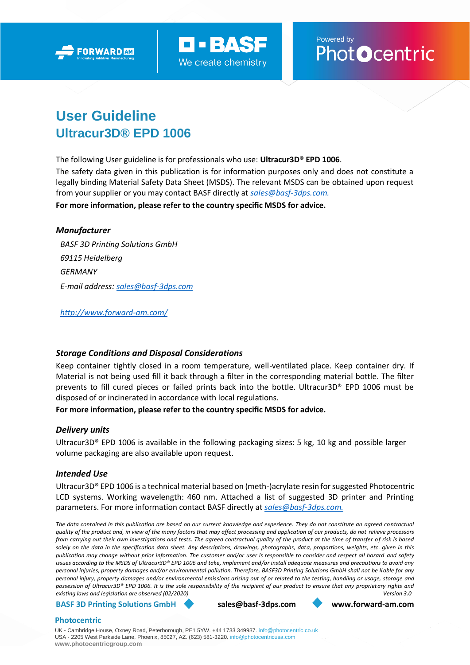



# Powered by<br>**PhotOcentric**

# **User Guideline Ultracur3D® EPD 1006**

The following User guideline is for professionals who use: **Ultracur3D® EPD 1006**.

The safety data given in this publication is for information purposes only and does not constitute a legally binding Material Safety Data Sheet (MSDS). The relevant MSDS can be obtained upon request from your supplier or you may contact BASF directly at *[sales@basf-3dps.com.](mailto:sales@basf-3dps.com)* **For more information, please refer to the country specific MSDS for advice.**

# *Manufacturer*

*BASF 3D Printing Solutions GmbH 69115 Heidelberg GERMANY E-mail address: [sales@basf-3dps.com](mailto:sales@basf-3dps.com)*

*<http://www.forward-am.com/>*

# *Storage Conditions and Disposal Considerations*

Keep container tightly closed in a room temperature, well-ventilated place. Keep container dry. If Material is not being used fill it back through a filter in the corresponding material bottle. The filter prevents to fill cured pieces or failed prints back into the bottle. Ultracur3D® EPD 1006 must be disposed of or incinerated in accordance with local regulations.

# **For more information, please refer to the country specific MSDS for advice.**

# *Delivery units*

Ultracur3D® EPD 1006 is available in the following packaging sizes: 5 kg, 10 kg and possible larger volume packaging are also available upon request.

# *Intended Use*

Ultracur3D® EPD 1006 is a technical material based on (meth-)acrylate resin for suggested Photocentric LCD systems. Working wavelength: 460 nm. Attached a list of suggested 3D printer and Printing parameters. For more information contact BASF directly at *[sales@basf-3dps.com.](mailto:sales@basf-3dps.com)*

*The data contained in this publication are based on our current knowledge and experience. They do not constitute an agreed contractual quality of the product and, in view of the many factors that may affect processing and application of our products, do not relieve processors from carrying out their own investigations and tests. The agreed contractual quality of the product at the time of transfer of risk is based solely on the data in the specification data sheet. Any descriptions, drawings, photographs, data, proportions, weights, etc. given in this publication may change without prior information. The customer and/or user is responsible to consider and respect all hazard and safety issues according to the MSDS of Ultracur3D® EPD 1006 and take, implement and/or install adequate measures and precautions to avoid any personal injuries, property damages and/or environmental pollution. Therefore, BASF3D Printing Solutions GmbH shall not be liable for any personal injury, property damages and/or environmental emissions arising out of or related to the testing, handling or usage, storage and possession of Ultracur3D® EPD 1006. It is the sole responsibility of the recipient of our product to ensure that any proprietary rights and existing laws and legislation are observed (02/2020) Version 3.0*

#### **BASF 3D Printing Solutions GmbH [sales@basf-3dps.com](mailto:sales@basf-3dps.com) [www.forward-am.com](http://www.forward-am.com/)**

# **Photocentric**

UK - Cambridge House, Oxney Road, Peterborough, PE1 5YW. +44 1733 349937. [info@photocentric.co.uk](mailto:info@photocentric.co.uk) USA - 2205 West Parkside Lane, Phoenix, 85027, AZ. (623) 581-3220[. info@photocentricusa.com](mailto:info@photocentricusa.com) **[www.photocentricgroup.com](http://www.photocentricgroup.com/)**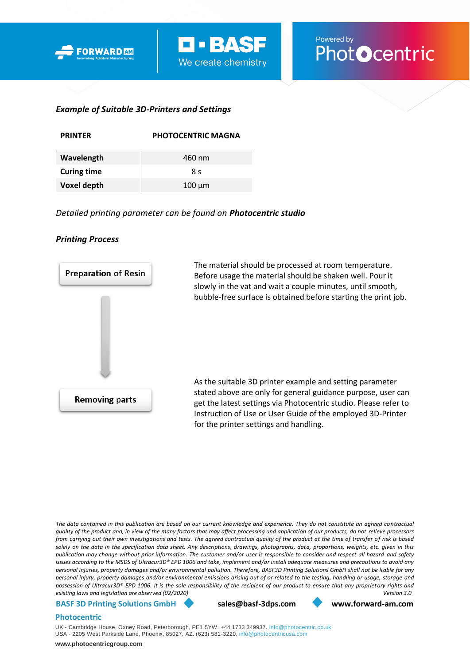



# *Example of Suitable 3D-Printers and Settings*

| <b>PRINTER</b>     | <b>PHOTOCENTRIC MAGNA</b> |  |  |
|--------------------|---------------------------|--|--|
| Wavelength         | 460 nm                    |  |  |
| <b>Curing time</b> | 8 م                       |  |  |
| Voxel depth        | $100 \mu m$               |  |  |

*Detailed printing parameter can be found on Photocentric studio* 

#### *Printing Process*



*The data contained in this publication are based on our current knowledge and experience. They do not constitute an agreed contractual quality of the product and, in view of the many factors that may affect processing and application of our products, do not relieve processors from carrying out their own investigations and tests. The agreed contractual quality of the product at the time of transfer of risk is based solely on the data in the specification data sheet. Any descriptions, drawings, photographs, data, proportions, weights, etc. given in this publication may change without prior information. The customer and/or user is responsible to consider and respect all hazard and safety issues according to the MSDS of Ultracur3D® EPD 1006 and take, implement and/or install adequate measures and precautions to avoid any personal injuries, property damages and/or environmental pollution. Therefore, BASF3D Printing Solutions GmbH shall not be liable for any personal injury, property damages and/or environmental emissions arising out of or related to the testing, handling or usage, storage and possession of Ultracur3D® EPD 1006. It is the sole responsibility of the recipient of our product to ensure that any proprietary rights and existing laws and legislation are observed (02/2020) Version 3.0*

#### **BASF 3D Printing Solutions GmbH [sales@basf-3dps.com](mailto:sales@basf-3dps.com) [www.forward-am.com](http://www.forward-am.com/)**

#### **Photocentric**

UK - Cambridge House, Oxney Road, Peterborough, PE1 5YW. +44 1733 349937. [info@photocentric.co.uk](mailto:info@photocentric.co.uk) USA - 2205 West Parkside Lane, Phoenix, 85027, AZ. (623) 581-3220. [info@photocentricusa.com](mailto:info@photocentricusa.com)

**[www.photocentricgroup.com](http://www.photocentricgroup.com/)**